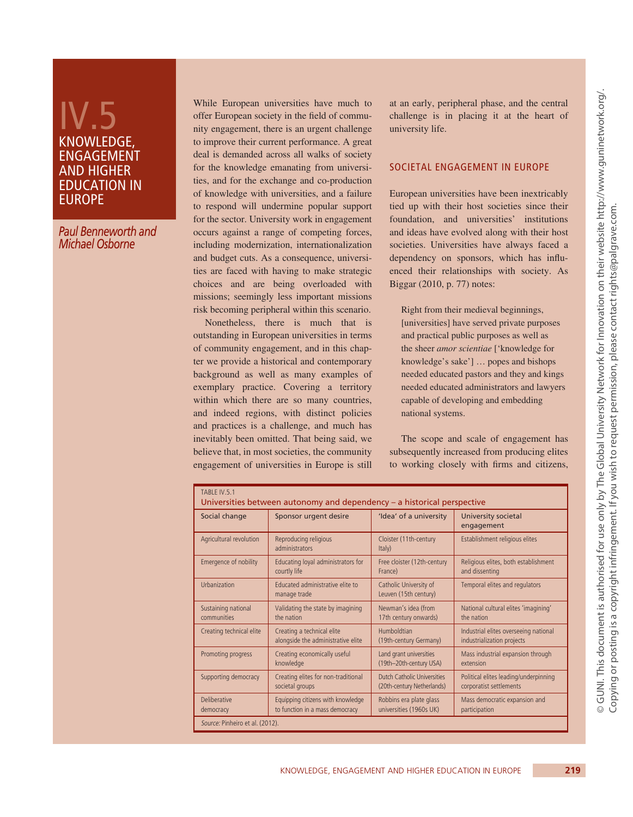# IV.5 KNOWLEDGE, ENGAGEMENT AND HIGHER EDUCATION IN EUROPE

*Paul Benneworth and Michael Osborne* 

While European universities have much to offer European society in the field of community engagement, there is an urgent challenge to improve their current performance. A great deal is demanded across all walks of society for the knowledge emanating from universities, and for the exchange and co-production of knowledge with universities, and a failure to respond will undermine popular support for the sector. University work in engagement occurs against a range of competing forces, including modernization, internationalization and budget cuts. As a consequence, universities are faced with having to make strategic choices and are being overloaded with missions; seemingly less important missions risk becoming peripheral within this scenario.

Nonetheless, there is much that is outstanding in European universities in terms of community engagement, and in this chapter we provide a historical and contemporary background as well as many examples of exemplary practice. Covering a territory within which there are so many countries, and indeed regions, with distinct policies and practices is a challenge, and much has inevitably been omitted. That being said, we believe that, in most societies, the community engagement of universities in Europe is still at an early, peripheral phase, and the central challenge is in placing it at the heart of university life.

## Societal engagement in Europe

European universities have been inextricably tied up with their host societies since their foundation, and universities' institutions and ideas have evolved along with their host societies. Universities have always faced a dependency on sponsors, which has influenced their relationships with society. As Biggar (2010, p. 77) notes:

Right from their medieval beginnings, [universities] have served private purposes and practical public purposes as well as the sheer *amor scientiae* ['knowledge for knowledge's sake'] … popes and bishops needed educated pastors and they and kings needed educated administrators and lawyers capable of developing and embedding national systems.

The scope and scale of engagement has subsequently increased from producing elites to working closely with firms and citizens,

| TABLE IV.5.1                    | Universities between autonomy and dependency – a historical perspective |                                                 |                                       |
|---------------------------------|-------------------------------------------------------------------------|-------------------------------------------------|---------------------------------------|
| Social change                   | Sponsor urgent desire                                                   | 'Idea' of a university                          | University societal<br>engagement     |
| Agricultural revolution         | Reproducing religious<br>administrators                                 | Cloister (11th-century<br>Italy)                | Establishment religious elites        |
| Emergence of nobility           | Educating loyal administrators for                                      | Free cloister (12th-century                     | Religious elites, both establishment  |
|                                 | courtly life                                                            | France)                                         | and dissenting                        |
| Urbanization                    | Educated administrative elite to<br>manage trade                        | Catholic University of<br>Leuven (15th century) | Temporal elites and regulators        |
| Sustaining national             | Validating the state by imagining                                       | Newman's idea (from                             | National cultural elites 'imagining'  |
| communities                     | the nation                                                              | 17th century onwards)                           | the nation                            |
| Creating technical elite        | Creating a technical elite                                              | Humboldtian                                     | Industrial elites overseeing national |
|                                 | alongside the administrative elite                                      | (19th-century Germany)                          | industrialization projects            |
| Promoting progress              | Creating economically useful                                            | Land grant universities                         | Mass industrial expansion through     |
|                                 | knowledge                                                               | (19th-20th-century USA)                         | extension                             |
| Supporting democracy            | Creating elites for non-traditional                                     | Dutch Catholic Universities                     | Political elites leading/underpinning |
|                                 | societal groups                                                         | (20th-century Netherlands)                      | corporatist settlements               |
| Deliberative                    | Equipping citizens with knowledge                                       | Robbins era plate glass                         | Mass democratic expansion and         |
| democracy                       | to function in a mass democracy                                         | universities (1960s UK)                         | participation                         |
| Source: Pinheiro et al. (2012). |                                                                         |                                                 |                                       |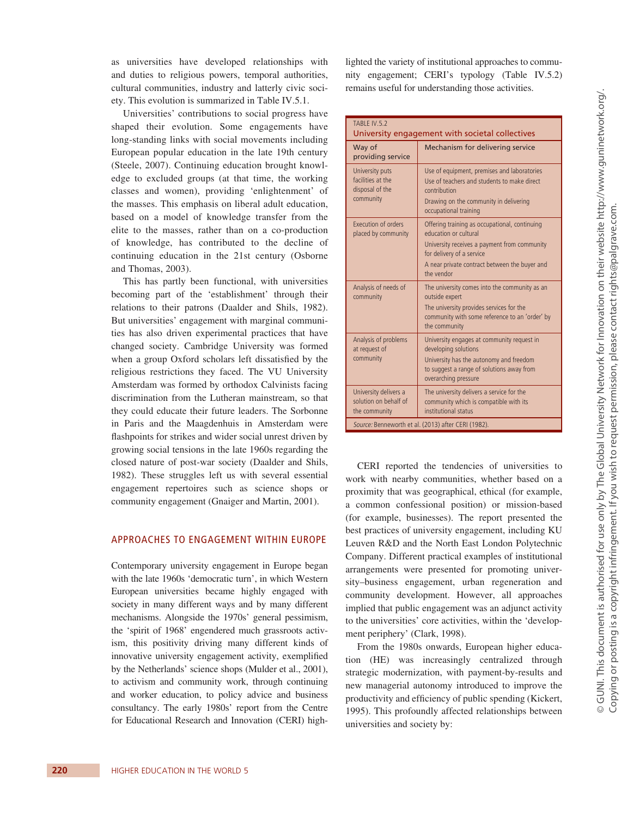as universities have developed relationships with and duties to religious powers, temporal authorities, cultural communities, industry and latterly civic society. This evolution is summarized in Table IV.5.1.

Universities' contributions to social progress have shaped their evolution. Some engagements have long-standing links with social movements including European popular education in the late 19th century (Steele, 2007). Continuing education brought knowledge to excluded groups (at that time, the working classes and women), providing 'enlightenment' of the masses. This emphasis on liberal adult education, based on a model of knowledge transfer from the elite to the masses, rather than on a co-production of knowledge, has contributed to the decline of continuing education in the 21st century (Osborne and Thomas, 2003).

This has partly been functional, with universities becoming part of the 'establishment' through their relations to their patrons (Daalder and Shils, 1982). But universities' engagement with marginal communities has also driven experimental practices that have changed society. Cambridge University was formed when a group Oxford scholars left dissatisfied by the religious restrictions they faced. The VU University Amsterdam was formed by orthodox Calvinists facing discrimination from the Lutheran mainstream, so that they could educate their future leaders. The Sorbonne in Paris and the Maagdenhuis in Amsterdam were flashpoints for strikes and wider social unrest driven by growing social tensions in the late 1960s regarding the closed nature of post-war society (Daalder and Shils, 1982). These struggles left us with several essential engagement repertoires such as science shops or community engagement (Gnaiger and Martin, 2001).

#### Approaches to engagement within Europe

Contemporary university engagement in Europe began with the late 1960s 'democratic turn', in which Western European universities became highly engaged with society in many different ways and by many different mechanisms. Alongside the 1970s' general pessimism, the 'spirit of 1968' engendered much grassroots activism, this positivity driving many different kinds of innovative university engagement activity, exemplified by the Netherlands' science shops (Mulder et al., 2001), to activism and community work, through continuing and worker education, to policy advice and business consultancy. The early 1980s' report from the Centre for Educational Research and Innovation (CERI) highlighted the variety of institutional approaches to community engagement; CERI's typology (Table IV.5.2) remains useful for understanding those activities.

| TABLE IV.5.2                                                         | University engagement with societal collectives                                                                                                                                                                    |
|----------------------------------------------------------------------|--------------------------------------------------------------------------------------------------------------------------------------------------------------------------------------------------------------------|
| Way of<br>providing service                                          | Mechanism for delivering service                                                                                                                                                                                   |
| University puts<br>facilities at the<br>disposal of the<br>community | Use of equipment, premises and laboratories<br>Use of teachers and students to make direct<br>contribution<br>Drawing on the community in delivering<br>occupational training                                      |
| Execution of orders<br>placed by community                           | Offering training as occupational, continuing<br>education or cultural<br>University receives a payment from community<br>for delivery of a service<br>A near private contract between the buyer and<br>the vendor |
| Analysis of needs of<br>community                                    | The university comes into the community as an<br>outside expert<br>The university provides services for the<br>community with some reference to an 'order' by<br>the community                                     |
| Analysis of problems<br>at request of<br>community                   | University engages at community request in<br>developing solutions<br>University has the autonomy and freedom<br>to suggest a range of solutions away from<br>overarching pressure                                 |
| University delivers a<br>solution on behalf of<br>the community      | The university delivers a service for the<br>community which is compatible with its<br>institutional status                                                                                                        |
|                                                                      | Source: Benneworth et al. (2013) after CERI (1982).                                                                                                                                                                |

CERI reported the tendencies of universities to work with nearby communities, whether based on a proximity that was geographical, ethical (for example, a common confessional position) or mission-based (for example, businesses). The report presented the best practices of university engagement, including KU Leuven R&D and the North East London Polytechnic Company. Different practical examples of institutional arrangements were presented for promoting university–business engagement, urban regeneration and community development. However, all approaches implied that public engagement was an adjunct activity to the universities' core activities, within the 'development periphery' (Clark, 1998).

From the 1980s onwards, European higher education (HE) was increasingly centralized through strategic modernization, with payment-by-results and new managerial autonomy introduced to improve the productivity and efficiency of public spending (Kickert, 1995). This profoundly affected relationships between universities and society by: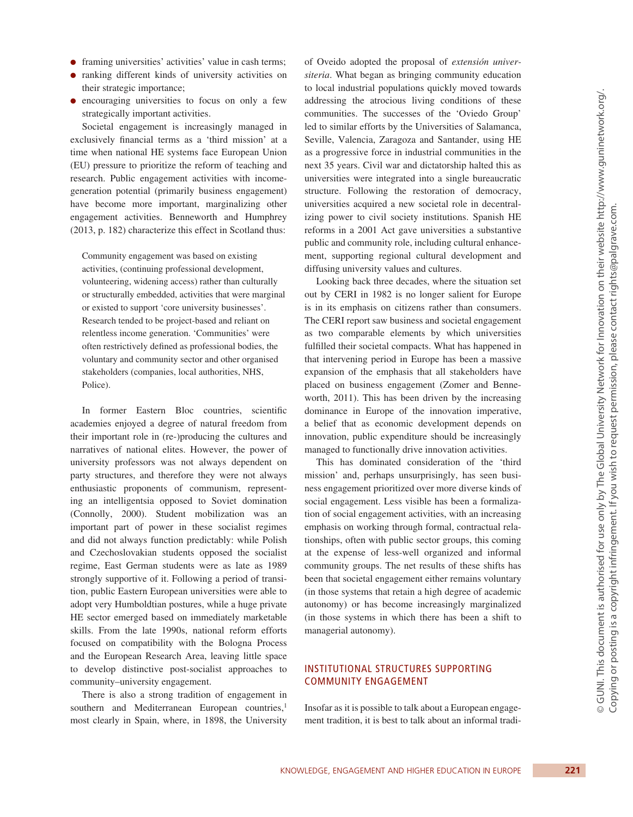- ●● framing universities' activities' value in cash terms;
- ranking different kinds of university activities on their strategic importance;
- encouraging universities to focus on only a few strategically important activities.

Societal engagement is increasingly managed in exclusively financial terms as a 'third mission' at a time when national HE systems face European Union (EU) pressure to prioritize the reform of teaching and research. Public engagement activities with incomegeneration potential (primarily business engagement) have become more important, marginalizing other engagement activities. Benneworth and Humphrey (2013, p. 182) characterize this effect in Scotland thus:

Community engagement was based on existing activities, (continuing professional development, volunteering, widening access) rather than culturally or structurally embedded, activities that were marginal or existed to support 'core university businesses'. Research tended to be project-based and reliant on relentless income generation. 'Communities' were often restrictively defined as professional bodies, the voluntary and community sector and other organised stakeholders (companies, local authorities, NHS, Police).

In former Eastern Bloc countries, scientific academies enjoyed a degree of natural freedom from their important role in (re-)producing the cultures and narratives of national elites. However, the power of university professors was not always dependent on party structures, and therefore they were not always enthusiastic proponents of communism, representing an intelligentsia opposed to Soviet domination (Connolly, 2000). Student mobilization was an important part of power in these socialist regimes and did not always function predictably: while Polish and Czechoslovakian students opposed the socialist regime, East German students were as late as 1989 strongly supportive of it. Following a period of transition, public Eastern European universities were able to adopt very Humboldtian postures, while a huge private HE sector emerged based on immediately marketable skills. From the late 1990s, national reform efforts focused on compatibility with the Bologna Process and the European Research Area, leaving little space to develop distinctive post-socialist approaches to community–university engagement.

There is also a strong tradition of engagement in southern and Mediterranean European countries,<sup>1</sup> most clearly in Spain, where, in 1898, the University

of Oveido adopted the proposal of *extensión universiteria*. What began as bringing community education to local industrial populations quickly moved towards addressing the atrocious living conditions of these communities. The successes of the 'Oviedo Group' led to similar efforts by the Universities of Salamanca, Seville, Valencia, Zaragoza and Santander, using HE as a progressive force in industrial communities in the next 35 years. Civil war and dictatorship halted this as universities were integrated into a single bureaucratic structure. Following the restoration of democracy, universities acquired a new societal role in decentralizing power to civil society institutions. Spanish HE reforms in a 2001 Act gave universities a substantive public and community role, including cultural enhancement, supporting regional cultural development and diffusing university values and cultures.

Looking back three decades, where the situation set out by CERI in 1982 is no longer salient for Europe is in its emphasis on citizens rather than consumers. The CERI report saw business and societal engagement as two comparable elements by which universities fulfilled their societal compacts. What has happened in that intervening period in Europe has been a massive expansion of the emphasis that all stakeholders have placed on business engagement (Zomer and Benneworth, 2011). This has been driven by the increasing dominance in Europe of the innovation imperative, a belief that as economic development depends on innovation, public expenditure should be increasingly managed to functionally drive innovation activities.

This has dominated consideration of the 'third mission' and, perhaps unsurprisingly, has seen business engagement prioritized over more diverse kinds of social engagement. Less visible has been a formalization of social engagement activities, with an increasing emphasis on working through formal, contractual relationships, often with public sector groups, this coming at the expense of less-well organized and informal community groups. The net results of these shifts has been that societal engagement either remains voluntary (in those systems that retain a high degree of academic autonomy) or has become increasingly marginalized (in those systems in which there has been a shift to managerial autonomy).

## Institutional structures supporting community engagement

Insofar as it is possible to talk about a European engagement tradition, it is best to talk about an informal tradi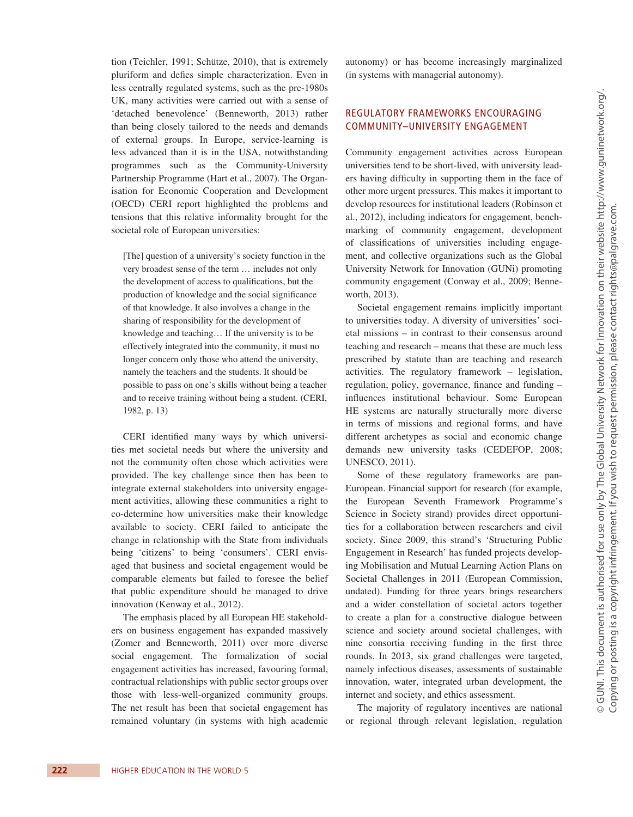tion (Teichler, 1991; Schütze, 2010), that is extremely pluriform and defies simple characterization. Even in less centrally regulated systems, such as the pre-1980s UK, many activities were carried out with a sense of 'detached benevolence' (Benneworth, 2013) rather than being closely tailored to the needs and demands of external groups. In Europe, service-learning is less advanced than it is in the USA, notwithstanding programmes such as the Community-University Partnership Programme (Hart et al., 2007). The Organisation for Economic Cooperation and Development (OECD) CERI report highlighted the problems and tensions that this relative informality brought for the societal role of European universities:

[The] question of a university's society function in the very broadest sense of the term … includes not only the development of access to qualifications, but the production of knowledge and the social significance of that knowledge. It also involves a change in the sharing of responsibility for the development of knowledge and teaching… If the university is to be effectively integrated into the community, it must no longer concern only those who attend the university, namely the teachers and the students. It should be possible to pass on one's skills without being a teacher and to receive training without being a student. (CERI, 1982, p. 13)

CERI identified many ways by which universities met societal needs but where the university and not the community often chose which activities were provided. The key challenge since then has been to integrate external stakeholders into university engagement activities, allowing these communities a right to co-determine how universities make their knowledge available to society. CERI failed to anticipate the change in relationship with the State from individuals being 'citizens' to being 'consumers'. CERI envisaged that business and societal engagement would be comparable elements but failed to foresee the belief that public expenditure should be managed to drive innovation (Kenway et al., 2012).

The emphasis placed by all European HE stakeholders on business engagement has expanded massively (Zomer and Benneworth, 2011) over more diverse social engagement. The formalization of social engagement activities has increased, favouring formal, contractual relationships with public sector groups over those with less-well-organized community groups. The net result has been that societal engagement has remained voluntary (in systems with high academic autonomy) or has become increasingly marginalized (in systems with managerial autonomy).

## Regulatory frameworks encouraging community–university engagement

Community engagement activities across European universities tend to be short-lived, with university leaders having difficulty in supporting them in the face of other more urgent pressures. This makes it important to develop resources for institutional leaders (Robinson et al., 2012), including indicators for engagement, benchmarking of community engagement, development of classifications of universities including engagement, and collective organizations such as the Global University Network for Innovation (GUNi) promoting community engagement (Conway et al., 2009; Benneworth, 2013).

Societal engagement remains implicitly important to universities today. A diversity of universities' societal missions – in contrast to their consensus around teaching and research – means that these are much less prescribed by statute than are teaching and research activities. The regulatory framework – legislation, regulation, policy, governance, finance and funding – influences institutional behaviour. Some European HE systems are naturally structurally more diverse in terms of missions and regional forms, and have different archetypes as social and economic change demands new university tasks (CEDEFOP, 2008; UNESCO, 2011).

Some of these regulatory frameworks are pan-European. Financial support for research (for example, the European Seventh Framework Programme's Science in Society strand) provides direct opportunities for a collaboration between researchers and civil society. Since 2009, this strand's 'Structuring Public Engagement in Research' has funded projects developing Mobilisation and Mutual Learning Action Plans on Societal Challenges in 2011 (European Commission, undated). Funding for three years brings researchers and a wider constellation of societal actors together to create a plan for a constructive dialogue between science and society around societal challenges, with nine consortia receiving funding in the first three rounds. In 2013, six grand challenges were targeted, namely infectious diseases, assessments of sustainable innovation, water, integrated urban development, the internet and society, and ethics assessment.

The majority of regulatory incentives are national or regional through relevant legislation, regulation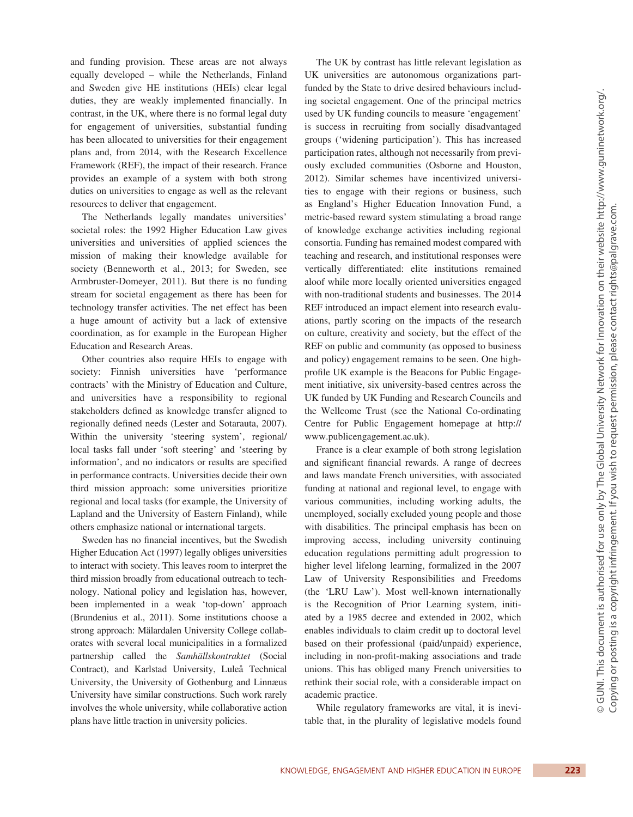and funding provision. These areas are not always equally developed – while the Netherlands, Finland and Sweden give HE institutions (HEIs) clear legal duties, they are weakly implemented financially. In contrast, in the UK, where there is no formal legal duty for engagement of universities, substantial funding has been allocated to universities for their engagement plans and, from 2014, with the Research Excellence Framework (REF), the impact of their research. France provides an example of a system with both strong duties on universities to engage as well as the relevant resources to deliver that engagement.

The Netherlands legally mandates universities' societal roles: the 1992 Higher Education Law gives universities and universities of applied sciences the mission of making their knowledge available for society (Benneworth et al., 2013; for Sweden, see Armbruster-Domeyer, 2011). But there is no funding stream for societal engagement as there has been for technology transfer activities. The net effect has been a huge amount of activity but a lack of extensive coordination, as for example in the European Higher Education and Research Areas.

Other countries also require HEIs to engage with society: Finnish universities have 'performance contracts' with the Ministry of Education and Culture, and universities have a responsibility to regional stakeholders defined as knowledge transfer aligned to regionally defined needs (Lester and Sotarauta, 2007). Within the university 'steering system', regional/ local tasks fall under 'soft steering' and 'steering by information', and no indicators or results are specified in performance contracts. Universities decide their own third mission approach: some universities prioritize regional and local tasks (for example, the University of Lapland and the University of Eastern Finland), while others emphasize national or international targets.

Sweden has no financial incentives, but the Swedish Higher Education Act (1997) legally obliges universities to interact with society. This leaves room to interpret the third mission broadly from educational outreach to technology. National policy and legislation has, however, been implemented in a weak 'top-down' approach (Brundenius et al., 2011). Some institutions choose a strong approach: Mälardalen University College collaborates with several local municipalities in a formalized partnership called the *Samhällskontraktet* (Social Contract), and Karlstad University, Luleå Technical University, the University of Gothenburg and Linnæus University have similar constructions. Such work rarely involves the whole university, while collaborative action plans have little traction in university policies.

The UK by contrast has little relevant legislation as UK universities are autonomous organizations partfunded by the State to drive desired behaviours including societal engagement. One of the principal metrics used by UK funding councils to measure 'engagement' is success in recruiting from socially disadvantaged groups ('widening participation'). This has increased participation rates, although not necessarily from previously excluded communities (Osborne and Houston, 2012). Similar schemes have incentivized universities to engage with their regions or business, such as England's Higher Education Innovation Fund, a metric-based reward system stimulating a broad range of knowledge exchange activities including regional consortia. Funding has remained modest compared with teaching and research, and institutional responses were vertically differentiated: elite institutions remained aloof while more locally oriented universities engaged with non-traditional students and businesses. The 2014 REF introduced an impact element into research evaluations, partly scoring on the impacts of the research on culture, creativity and society, but the effect of the REF on public and community (as opposed to business and policy) engagement remains to be seen. One highprofile UK example is the Beacons for Public Engagement initiative, six university-based centres across the UK funded by UK Funding and Research Councils and the Wellcome Trust (see the National Co-ordinating Centre for Public Engagement homepage at http:// www.publicengagement.ac.uk).

France is a clear example of both strong legislation and significant financial rewards. A range of decrees and laws mandate French universities, with associated funding at national and regional level, to engage with various communities, including working adults, the unemployed, socially excluded young people and those with disabilities. The principal emphasis has been on improving access, including university continuing education regulations permitting adult progression to higher level lifelong learning, formalized in the 2007 Law of University Responsibilities and Freedoms (the 'LRU Law'). Most well-known internationally is the Recognition of Prior Learning system, initiated by a 1985 decree and extended in 2002, which enables individuals to claim credit up to doctoral level based on their professional (paid/unpaid) experience, including in non-profit-making associations and trade unions. This has obliged many French universities to rethink their social role, with a considerable impact on academic practice.

While regulatory frameworks are vital, it is inevitable that, in the plurality of legislative models found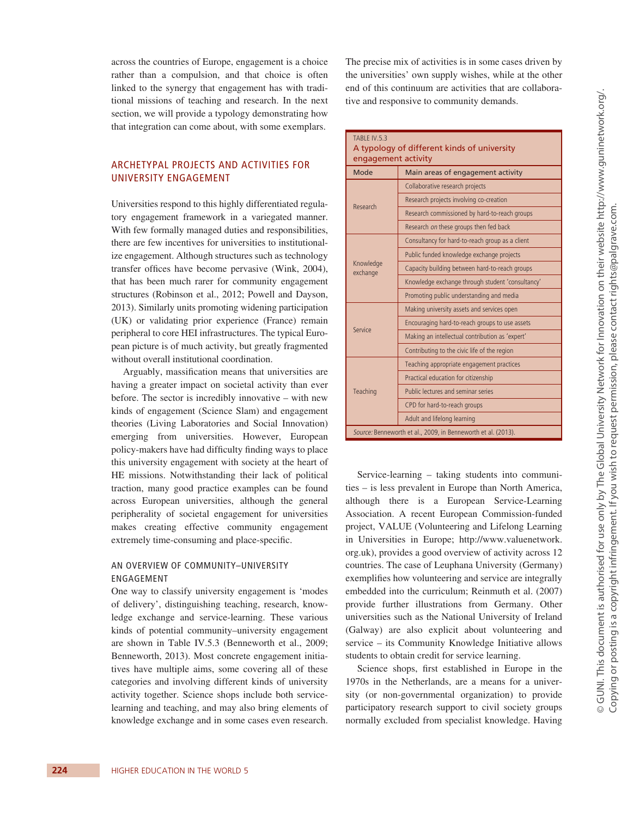across the countries of Europe, engagement is a choice rather than a compulsion, and that choice is often linked to the synergy that engagement has with traditional missions of teaching and research. In the next section, we will provide a typology demonstrating how that integration can come about, with some exemplars.

## Archetypal projects and activities for university engagement

Universities respond to this highly differentiated regulatory engagement framework in a variegated manner. With few formally managed duties and responsibilities, there are few incentives for universities to institutionalize engagement. Although structures such as technology transfer offices have become pervasive (Wink, 2004), that has been much rarer for community engagement structures (Robinson et al., 2012; Powell and Dayson, 2013). Similarly units promoting widening participation (UK) or validating prior experience (France) remain peripheral to core HEI infrastructures. The typical European picture is of much activity, but greatly fragmented without overall institutional coordination.

Arguably, massification means that universities are having a greater impact on societal activity than ever before. The sector is incredibly innovative – with new kinds of engagement (Science Slam) and engagement theories (Living Laboratories and Social Innovation) emerging from universities. However, European policy-makers have had difficulty finding ways to place this university engagement with society at the heart of HE missions. Notwithstanding their lack of political traction, many good practice examples can be found across European universities, although the general peripherality of societal engagement for universities makes creating effective community engagement extremely time-consuming and place-specific.

#### AN OVERVIEW OF COMMUNITY–UNIVERSITY ENGAGEMENT

One way to classify university engagement is 'modes of delivery', distinguishing teaching, research, knowledge exchange and service-learning. These various kinds of potential community–university engagement are shown in Table IV.5.3 (Benneworth et al., 2009; Benneworth, 2013). Most concrete engagement initiatives have multiple aims, some covering all of these categories and involving different kinds of university activity together. Science shops include both servicelearning and teaching, and may also bring elements of knowledge exchange and in some cases even research. The precise mix of activities is in some cases driven by the universities' own supply wishes, while at the other end of this continuum are activities that are collaborative and responsive to community demands.

| Mode                  | Main areas of engagement activity                |  |
|-----------------------|--------------------------------------------------|--|
| Research              | Collaborative research projects                  |  |
|                       | Research projects involving co-creation          |  |
|                       | Research commissioned by hard-to-reach groups    |  |
|                       | Research on these groups then fed back           |  |
|                       | Consultancy for hard-to-reach group as a client  |  |
|                       | Public funded knowledge exchange projects        |  |
| Knowledge<br>exchange | Capacity building between hard-to-reach groups   |  |
|                       | Knowledge exchange through student 'consultancy' |  |
|                       | Promoting public understanding and media         |  |
|                       | Making university assets and services open       |  |
| Service               | Encouraging hard-to-reach groups to use assets   |  |
|                       | Making an intellectual contribution as 'expert'  |  |
|                       | Contributing to the civic life of the region     |  |
|                       | Teaching appropriate engagement practices        |  |
|                       | Practical education for citizenship              |  |
| Teaching              | Public lectures and seminar series               |  |
|                       | CPD for hard-to-reach groups                     |  |
|                       | Adult and lifelong learning                      |  |

Service-learning – taking students into communities – is less prevalent in Europe than North America, although there is a European Service-Learning Association. A recent European Commission-funded project, VALUE (Volunteering and Lifelong Learning in Universities in Europe; http://www.valuenetwork. org.uk), provides a good overview of activity across 12 countries. The case of Leuphana University (Germany) exemplifies how volunteering and service are integrally embedded into the curriculum; Reinmuth et al. (2007) provide further illustrations from Germany. Other universities such as the National University of Ireland (Galway) are also explicit about volunteering and service – its Community Knowledge Initiative allows students to obtain credit for service learning.

Science shops, first established in Europe in the 1970s in the Netherlands, are a means for a university (or non-governmental organization) to provide participatory research support to civil society groups normally excluded from specialist knowledge. Having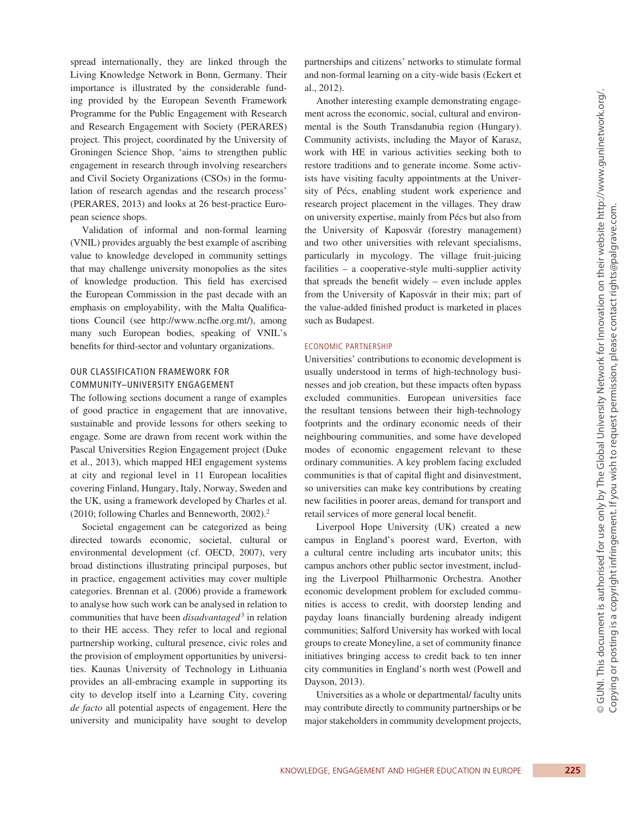spread internationally, they are linked through the Living Knowledge Network in Bonn, Germany. Their importance is illustrated by the considerable funding provided by the European Seventh Framework Programme for the Public Engagement with Research and Research Engagement with Society (PERARES) project. This project, coordinated by the University of Groningen Science Shop, 'aims to strengthen public engagement in research through involving researchers and Civil Society Organizations (CSOs) in the formulation of research agendas and the research process' (PERARES, 2013) and looks at 26 best-practice European science shops.

Validation of informal and non-formal learning (VNIL) provides arguably the best example of ascribing value to knowledge developed in community settings that may challenge university monopolies as the sites of knowledge production. This field has exercised the European Commission in the past decade with an emphasis on employability, with the Malta Qualifications Council (see http://www.ncfhe.org.mt/), among many such European bodies, speaking of VNIL's benefits for third-sector and voluntary organizations.

## OUR CLASSIFICATION FRAMEWORK FOR COMMUNITY–UNIVERSITY ENGAGEMENT

The following sections document a range of examples of good practice in engagement that are innovative, sustainable and provide lessons for others seeking to engage. Some are drawn from recent work within the Pascal Universities Region Engagement project (Duke et al., 2013), which mapped HEI engagement systems at city and regional level in 11 European localities covering Finland, Hungary, Italy, Norway, Sweden and the UK, using a framework developed by Charles et al. (2010; following Charles and Benneworth, 2002).2

Societal engagement can be categorized as being directed towards economic, societal, cultural or environmental development (cf. OECD, 2007), very broad distinctions illustrating principal purposes, but in practice, engagement activities may cover multiple categories. Brennan et al. (2006) provide a framework to analyse how such work can be analysed in relation to communities that have been *disadvantaged*<sup>3</sup> in relation to their HE access. They refer to local and regional partnership working, cultural presence, civic roles and the provision of employment opportunities by universities. Kaunas University of Technology in Lithuania provides an all-embracing example in supporting its city to develop itself into a Learning City, covering *de facto* all potential aspects of engagement. Here the university and municipality have sought to develop

partnerships and citizens' networks to stimulate formal and non-formal learning on a city-wide basis (Eckert et al., 2012).

Another interesting example demonstrating engagement across the economic, social, cultural and environmental is the South Transdanubia region (Hungary). Community activists, including the Mayor of Karasz, work with HE in various activities seeking both to restore traditions and to generate income. Some activists have visiting faculty appointments at the University of Pécs, enabling student work experience and research project placement in the villages. They draw on university expertise, mainly from Pécs but also from the University of Kaposvár (forestry management) and two other universities with relevant specialisms, particularly in mycology. The village fruit-juicing facilities – a cooperative-style multi-supplier activity that spreads the benefit widely – even include apples from the University of Kaposvár in their mix; part of the value-added finished product is marketed in places such as Budapest.

#### Economic partnership

Universities' contributions to economic development is usually understood in terms of high-technology businesses and job creation, but these impacts often bypass excluded communities. European universities face the resultant tensions between their high-technology footprints and the ordinary economic needs of their neighbouring communities, and some have developed modes of economic engagement relevant to these ordinary communities. A key problem facing excluded communities is that of capital flight and disinvestment, so universities can make key contributions by creating new facilities in poorer areas, demand for transport and retail services of more general local benefit.

Liverpool Hope University (UK) created a new campus in England's poorest ward, Everton, with a cultural centre including arts incubator units; this campus anchors other public sector investment, including the Liverpool Philharmonic Orchestra. Another economic development problem for excluded communities is access to credit, with doorstep lending and payday loans financially burdening already indigent communities; Salford University has worked with local groups to create Moneyline, a set of community finance initiatives bringing access to credit back to ten inner city communities in England's north west (Powell and Dayson, 2013).

Universities as a whole or departmental/ faculty units may contribute directly to community partnerships or be major stakeholders in community development projects,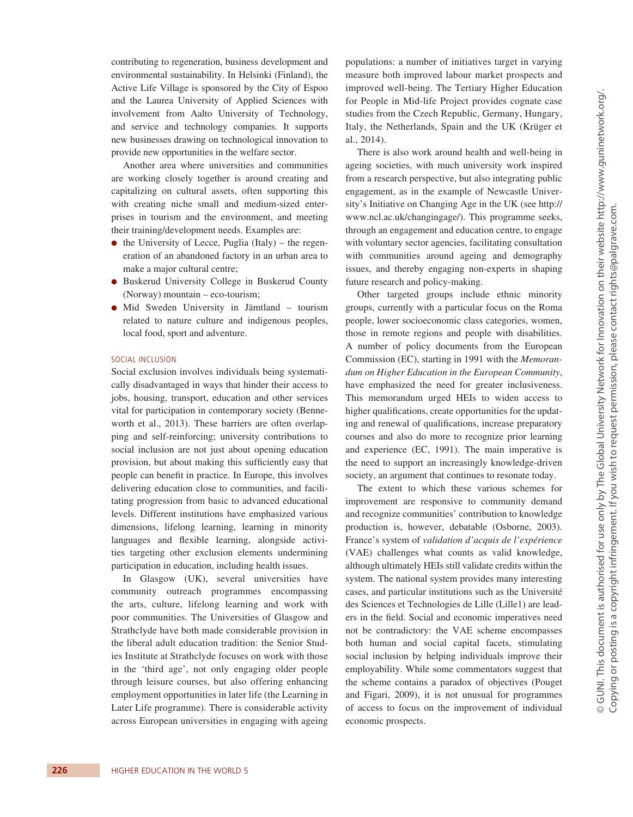contributing to regeneration, business development and environmental sustainability. In Helsinki (Finland), the Active Life Village is sponsored by the City of Espoo and the Laurea University of Applied Sciences with involvement from Aalto University of Technology, and service and technology companies. It supports new businesses drawing on technological innovation to provide new opportunities in the welfare sector.

Another area where universities and communities are working closely together is around creating and capitalizing on cultural assets, often supporting this with creating niche small and medium-sized enterprises in tourism and the environment, and meeting their training/development needs. Examples are:

- $\bullet$  the University of Lecce, Puglia (Italy) the regeneration of an abandoned factory in an urban area to make a major cultural centre;
- ●● Buskerud University College in Buskerud County (Norway) mountain – eco-tourism;
- Mid Sweden University in Jämtland tourism related to nature culture and indigenous peoples, local food, sport and adventure.

#### Social inclusion

Social exclusion involves individuals being systematically disadvantaged in ways that hinder their access to jobs, housing, transport, education and other services vital for participation in contemporary society (Benneworth et al., 2013). These barriers are often overlapping and self-reinforcing; university contributions to social inclusion are not just about opening education provision, but about making this sufficiently easy that people can benefit in practice. In Europe, this involves delivering education close to communities, and facilitating progression from basic to advanced educational levels. Different institutions have emphasized various dimensions, lifelong learning, learning in minority languages and flexible learning, alongside activities targeting other exclusion elements undermining participation in education, including health issues.

In Glasgow (UK), several universities have community outreach programmes encompassing the arts, culture, lifelong learning and work with poor communities. The Universities of Glasgow and Strathclyde have both made considerable provision in the liberal adult education tradition: the Senior Studies Institute at Strathclyde focuses on work with those in the 'third age', not only engaging older people through leisure courses, but also offering enhancing employment opportunities in later life (the Learning in Later Life programme). There is considerable activity across European universities in engaging with ageing populations: a number of initiatives target in varying measure both improved labour market prospects and improved well-being. The Tertiary Higher Education for People in Mid-life Project provides cognate case studies from the Czech Republic, Germany, Hungary, Italy, the Netherlands, Spain and the UK (Krüger et al., 2014).

There is also work around health and well-being in ageing societies, with much university work inspired from a research perspective, but also integrating public engagement, as in the example of Newcastle University's Initiative on Changing Age in the UK (see http:// www.ncl.ac.uk/changingage/). This programme seeks, through an engagement and education centre, to engage with voluntary sector agencies, facilitating consultation with communities around ageing and demography issues, and thereby engaging non-experts in shaping future research and policy-making.

Other targeted groups include ethnic minority groups, currently with a particular focus on the Roma people, lower socioeconomic class categories, women, those in remote regions and people with disabilities. A number of policy documents from the European Commission (EC), starting in 1991 with the *Memorandum on Higher Education in the European Community*, have emphasized the need for greater inclusiveness. This memorandum urged HEIs to widen access to higher qualifications, create opportunities for the updating and renewal of qualifications, increase preparatory courses and also do more to recognize prior learning and experience (EC, 1991). The main imperative is the need to support an increasingly knowledge-driven society, an argument that continues to resonate today.

The extent to which these various schemes for improvement are responsive to community demand and recognize communities' contribution to knowledge production is, however, debatable (Osborne, 2003). France's system of *validation d'acquis de l'expérience* (VAE) challenges what counts as valid knowledge, although ultimately HEIs still validate credits within the system. The national system provides many interesting cases, and particular institutions such as the Université des Sciences et Technologies de Lille (Lille1) are leaders in the field. Social and economic imperatives need not be contradictory: the VAE scheme encompasses both human and social capital facets, stimulating social inclusion by helping individuals improve their employability. While some commentators suggest that the scheme contains a paradox of objectives (Pouget and Figari, 2009), it is not unusual for programmes of access to focus on the improvement of individual economic prospects.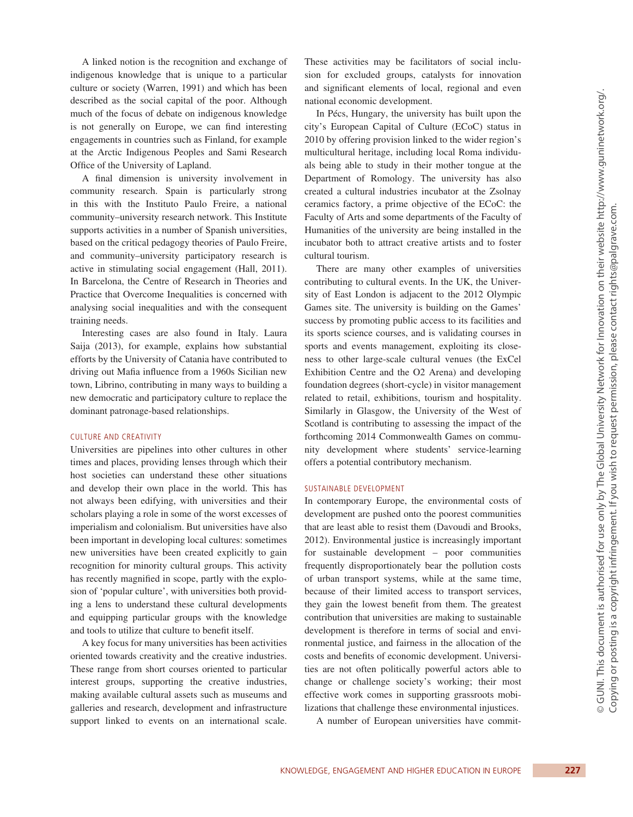A linked notion is the recognition and exchange of indigenous knowledge that is unique to a particular culture or society (Warren, 1991) and which has been described as the social capital of the poor. Although much of the focus of debate on indigenous knowledge is not generally on Europe, we can find interesting engagements in countries such as Finland, for example at the Arctic Indigenous Peoples and Sami Research Office of the University of Lapland.

A final dimension is university involvement in community research. Spain is particularly strong in this with the Instituto Paulo Freire, a national community–university research network. This Institute supports activities in a number of Spanish universities, based on the critical pedagogy theories of Paulo Freire, and community–university participatory research is active in stimulating social engagement (Hall, 2011). In Barcelona, the Centre of Research in Theories and Practice that Overcome Inequalities is concerned with analysing social inequalities and with the consequent training needs.

Interesting cases are also found in Italy. Laura Saija (2013), for example, explains how substantial efforts by the University of Catania have contributed to driving out Mafia influence from a 1960s Sicilian new town, Librino, contributing in many ways to building a new democratic and participatory culture to replace the dominant patronage-based relationships.

#### CULTURE AND CREATIVITY

Universities are pipelines into other cultures in other times and places, providing lenses through which their host societies can understand these other situations and develop their own place in the world. This has not always been edifying, with universities and their scholars playing a role in some of the worst excesses of imperialism and colonialism. But universities have also been important in developing local cultures: sometimes new universities have been created explicitly to gain recognition for minority cultural groups. This activity has recently magnified in scope, partly with the explosion of 'popular culture', with universities both providing a lens to understand these cultural developments and equipping particular groups with the knowledge and tools to utilize that culture to benefit itself.

A key focus for many universities has been activities oriented towards creativity and the creative industries. These range from short courses oriented to particular interest groups, supporting the creative industries, making available cultural assets such as museums and galleries and research, development and infrastructure support linked to events on an international scale. These activities may be facilitators of social inclusion for excluded groups, catalysts for innovation and significant elements of local, regional and even national economic development.

In Pécs, Hungary, the university has built upon the city's European Capital of Culture (ECoC) status in 2010 by offering provision linked to the wider region's multicultural heritage, including local Roma individuals being able to study in their mother tongue at the Department of Romology. The university has also created a cultural industries incubator at the Zsolnay ceramics factory, a prime objective of the ECoC: the Faculty of Arts and some departments of the Faculty of Humanities of the university are being installed in the incubator both to attract creative artists and to foster cultural tourism.

There are many other examples of universities contributing to cultural events. In the UK, the University of East London is adjacent to the 2012 Olympic Games site. The university is building on the Games' success by promoting public access to its facilities and its sports science courses, and is validating courses in sports and events management, exploiting its closeness to other large-scale cultural venues (the ExCel Exhibition Centre and the O2 Arena) and developing foundation degrees (short-cycle) in visitor management related to retail, exhibitions, tourism and hospitality. Similarly in Glasgow, the University of the West of Scotland is contributing to assessing the impact of the forthcoming 2014 Commonwealth Games on community development where students' service-learning offers a potential contributory mechanism.

#### Sustainable development

In contemporary Europe, the environmental costs of development are pushed onto the poorest communities that are least able to resist them (Davoudi and Brooks, 2012). Environmental justice is increasingly important for sustainable development – poor communities frequently disproportionately bear the pollution costs of urban transport systems, while at the same time, because of their limited access to transport services, they gain the lowest benefit from them. The greatest contribution that universities are making to sustainable development is therefore in terms of social and environmental justice, and fairness in the allocation of the costs and benefits of economic development. Universities are not often politically powerful actors able to change or challenge society's working; their most effective work comes in supporting grassroots mobilizations that challenge these environmental injustices.

A number of European universities have commit-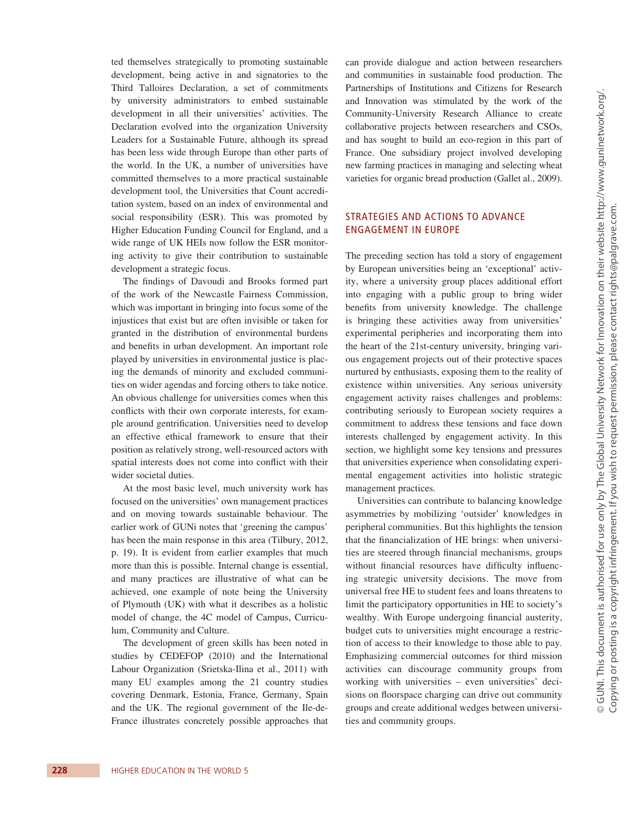ted themselves strategically to promoting sustainable development, being active in and signatories to the Third Talloires Declaration, a set of commitments by university administrators to embed sustainable development in all their universities' activities. The Declaration evolved into the organization University Leaders for a Sustainable Future, although its spread has been less wide through Europe than other parts of the world. In the UK, a number of universities have committed themselves to a more practical sustainable development tool, the Universities that Count accreditation system, based on an index of environmental and social responsibility (ESR). This was promoted by Higher Education Funding Council for England, and a wide range of UK HEIs now follow the ESR monitoring activity to give their contribution to sustainable development a strategic focus.

The findings of Davoudi and Brooks formed part of the work of the Newcastle Fairness Commission, which was important in bringing into focus some of the injustices that exist but are often invisible or taken for granted in the distribution of environmental burdens and benefits in urban development. An important role played by universities in environmental justice is placing the demands of minority and excluded communities on wider agendas and forcing others to take notice. An obvious challenge for universities comes when this conflicts with their own corporate interests, for example around gentrification. Universities need to develop an effective ethical framework to ensure that their position as relatively strong, well-resourced actors with spatial interests does not come into conflict with their wider societal duties.

At the most basic level, much university work has focused on the universities' own management practices and on moving towards sustainable behaviour. The earlier work of GUNi notes that 'greening the campus' has been the main response in this area (Tilbury, 2012, p. 19). It is evident from earlier examples that much more than this is possible. Internal change is essential, and many practices are illustrative of what can be achieved, one example of note being the University of Plymouth (UK) with what it describes as a holistic model of change, the 4C model of Campus, Curriculum, Community and Culture.

The development of green skills has been noted in studies by CEDEFOP (2010) and the International Labour Organization (Srietska-Ilina et al., 2011) with many EU examples among the 21 country studies covering Denmark, Estonia, France, Germany, Spain and the UK. The regional government of the Ile-de-France illustrates concretely possible approaches that can provide dialogue and action between researchers and communities in sustainable food production. The Partnerships of Institutions and Citizens for Research and Innovation was stimulated by the work of the Community-University Research Alliance to create collaborative projects between researchers and CSOs, and has sought to build an eco-region in this part of France. One subsidiary project involved developing new farming practices in managing and selecting wheat varieties for organic bread production (Gallet al., 2009).

## Strategies and actions to advance engagement in Europe

The preceding section has told a story of engagement by European universities being an 'exceptional' activity, where a university group places additional effort into engaging with a public group to bring wider benefits from university knowledge. The challenge is bringing these activities away from universities' experimental peripheries and incorporating them into the heart of the 21st-century university, bringing various engagement projects out of their protective spaces nurtured by enthusiasts, exposing them to the reality of existence within universities. Any serious university engagement activity raises challenges and problems: contributing seriously to European society requires a commitment to address these tensions and face down interests challenged by engagement activity. In this section, we highlight some key tensions and pressures that universities experience when consolidating experimental engagement activities into holistic strategic management practices.

Universities can contribute to balancing knowledge asymmetries by mobilizing 'outsider' knowledges in peripheral communities. But this highlights the tension that the financialization of HE brings: when universities are steered through financial mechanisms, groups without financial resources have difficulty influencing strategic university decisions. The move from universal free HE to student fees and loans threatens to limit the participatory opportunities in HE to society's wealthy. With Europe undergoing financial austerity, budget cuts to universities might encourage a restriction of access to their knowledge to those able to pay. Emphasizing commercial outcomes for third mission activities can discourage community groups from working with universities – even universities' decisions on floorspace charging can drive out community groups and create additional wedges between universities and community groups.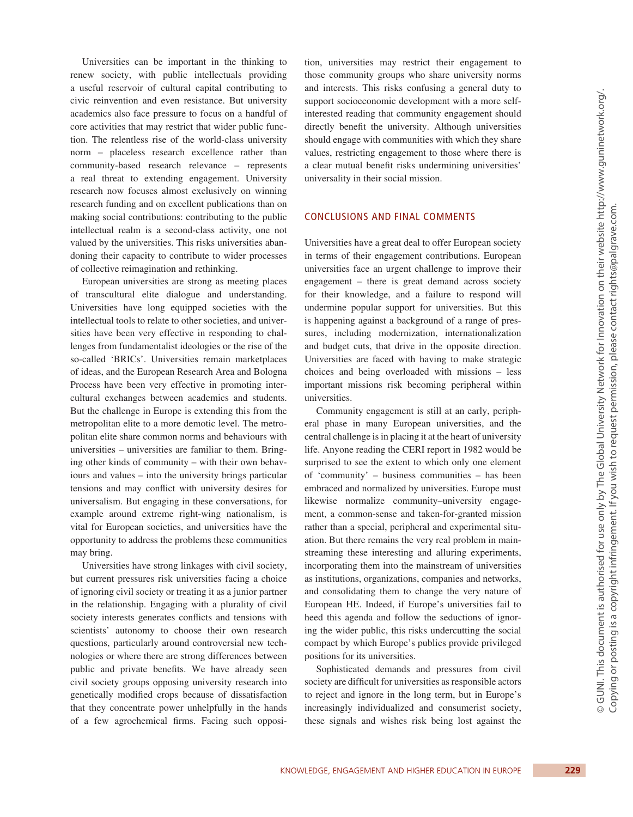Universities can be important in the thinking to renew society, with public intellectuals providing a useful reservoir of cultural capital contributing to civic reinvention and even resistance. But university academics also face pressure to focus on a handful of core activities that may restrict that wider public function. The relentless rise of the world-class university norm – placeless research excellence rather than community-based research relevance – represents a real threat to extending engagement. University research now focuses almost exclusively on winning research funding and on excellent publications than on making social contributions: contributing to the public intellectual realm is a second-class activity, one not valued by the universities. This risks universities abandoning their capacity to contribute to wider processes of collective reimagination and rethinking.

European universities are strong as meeting places of transcultural elite dialogue and understanding. Universities have long equipped societies with the intellectual tools to relate to other societies, and universities have been very effective in responding to challenges from fundamentalist ideologies or the rise of the so-called 'BRICs'. Universities remain marketplaces of ideas, and the European Research Area and Bologna Process have been very effective in promoting intercultural exchanges between academics and students. But the challenge in Europe is extending this from the metropolitan elite to a more demotic level. The metropolitan elite share common norms and behaviours with universities – universities are familiar to them. Bringing other kinds of community – with their own behaviours and values – into the university brings particular tensions and may conflict with university desires for universalism. But engaging in these conversations, for example around extreme right-wing nationalism, is vital for European societies, and universities have the opportunity to address the problems these communities may bring.

Universities have strong linkages with civil society, but current pressures risk universities facing a choice of ignoring civil society or treating it as a junior partner in the relationship. Engaging with a plurality of civil society interests generates conflicts and tensions with scientists' autonomy to choose their own research questions, particularly around controversial new technologies or where there are strong differences between public and private benefits. We have already seen civil society groups opposing university research into genetically modified crops because of dissatisfaction that they concentrate power unhelpfully in the hands of a few agrochemical firms. Facing such opposition, universities may restrict their engagement to those community groups who share university norms and interests. This risks confusing a general duty to support socioeconomic development with a more selfinterested reading that community engagement should directly benefit the university. Although universities should engage with communities with which they share values, restricting engagement to those where there is a clear mutual benefit risks undermining universities' universality in their social mission.

## Conclusions and final comments

Universities have a great deal to offer European society in terms of their engagement contributions. European universities face an urgent challenge to improve their engagement – there is great demand across society for their knowledge, and a failure to respond will undermine popular support for universities. But this is happening against a background of a range of pressures, including modernization, internationalization and budget cuts, that drive in the opposite direction. Universities are faced with having to make strategic choices and being overloaded with missions – less important missions risk becoming peripheral within universities.

Community engagement is still at an early, peripheral phase in many European universities, and the central challenge is in placing it at the heart of university life. Anyone reading the CERI report in 1982 would be surprised to see the extent to which only one element of 'community' – business communities – has been embraced and normalized by universities. Europe must likewise normalize community–university engagement, a common-sense and taken-for-granted mission rather than a special, peripheral and experimental situation. But there remains the very real problem in mainstreaming these interesting and alluring experiments, incorporating them into the mainstream of universities as institutions, organizations, companies and networks, and consolidating them to change the very nature of European HE. Indeed, if Europe's universities fail to heed this agenda and follow the seductions of ignoring the wider public, this risks undercutting the social compact by which Europe's publics provide privileged positions for its universities.

Sophisticated demands and pressures from civil society are difficult for universities as responsible actors to reject and ignore in the long term, but in Europe's increasingly individualized and consumerist society, these signals and wishes risk being lost against the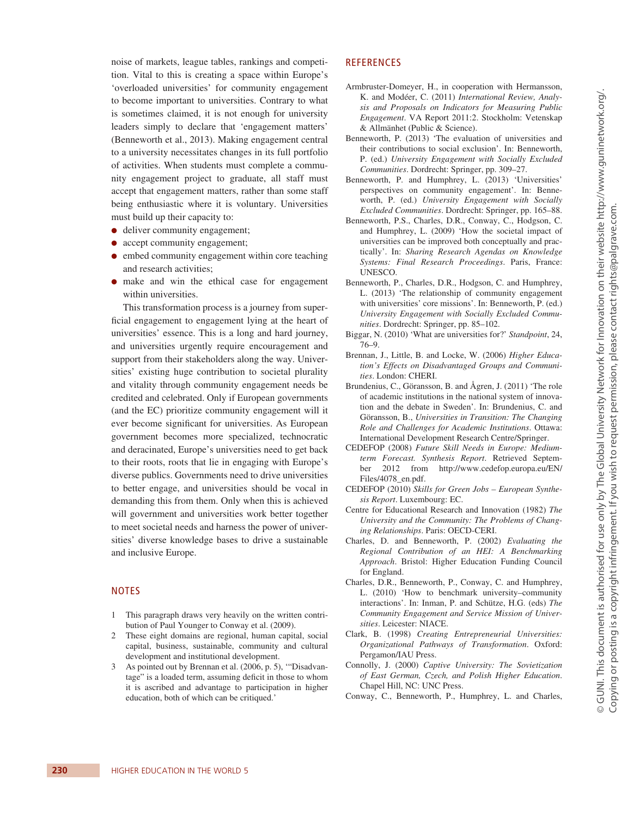noise of markets, league tables, rankings and competition. Vital to this is creating a space within Europe's 'overloaded universities' for community engagement to become important to universities. Contrary to what is sometimes claimed, it is not enough for university leaders simply to declare that 'engagement matters' (Benneworth et al., 2013). Making engagement central to a university necessitates changes in its full portfolio of activities. When students must complete a community engagement project to graduate, all staff must accept that engagement matters, rather than some staff being enthusiastic where it is voluntary. Universities must build up their capacity to:

- deliver community engagement;
- accept community engagement;
- embed community engagement within core teaching and research activities;
- ●● make and win the ethical case for engagement within universities.

This transformation process is a journey from superficial engagement to engagement lying at the heart of universities' essence. This is a long and hard journey, and universities urgently require encouragement and support from their stakeholders along the way. Universities' existing huge contribution to societal plurality and vitality through community engagement needs be credited and celebrated. Only if European governments (and the EC) prioritize community engagement will it ever become significant for universities. As European government becomes more specialized, technocratic and deracinated, Europe's universities need to get back to their roots, roots that lie in engaging with Europe's diverse publics. Governments need to drive universities to better engage, and universities should be vocal in demanding this from them. Only when this is achieved will government and universities work better together to meet societal needs and harness the power of universities' diverse knowledge bases to drive a sustainable and inclusive Europe.

## **NOTES**

- 1 This paragraph draws very heavily on the written contribution of Paul Younger to Conway et al. (2009).
- 2 These eight domains are regional, human capital, social capital, business, sustainable, community and cultural development and institutional development.
- 3 As pointed out by Brennan et al. (2006, p. 5), '"Disadvantage" is a loaded term, assuming deficit in those to whom it is ascribed and advantage to participation in higher education, both of which can be critiqued.'

## **REFERENCES**

- Armbruster-Domeyer, H., in cooperation with Hermansson, K. and Modéer, C. (2011) *International Review, Analysis and Proposals on Indicators for Measuring Public Engagement*. VA Report 2011:2. Stockholm: Vetenskap & Allmänhet (Public & Science).
- Benneworth, P. (2013) 'The evaluation of universities and their contributions to social exclusion'. In: Benneworth, P. (ed.) *University Engagement with Socially Excluded Communities*. Dordrecht: Springer, pp. 309–27.
- Benneworth, P. and Humphrey, L. (2013) 'Universities' perspectives on community engagement'. In: Benneworth, P. (ed.) *University Engagement with Socially Excluded Communities*. Dordrecht: Springer, pp. 165–88.
- Benneworth, P.S., Charles, D.R., Conway, C., Hodgson, C. and Humphrey, L. (2009) 'How the societal impact of universities can be improved both conceptually and practically'. In: *Sharing Research Agendas on Knowledge Systems: Final Research Proceedings*. Paris, France: UNESCO.
- Benneworth, P., Charles, D.R., Hodgson, C. and Humphrey, L. (2013) 'The relationship of community engagement with universities' core missions'. In: Benneworth, P. (ed.) *University Engagement with Socially Excluded Communities*. Dordrecht: Springer, pp. 85–102.
- Biggar, N. (2010) 'What are universities for?' *Standpoint*, 24, 76–9.
- Brennan, J., Little, B. and Locke, W. (2006) *Higher Education's Effects on Disadvantaged Groups and Communities*. London: CHERI.
- Brundenius, C., Göransson, B. and Ågren, J. (2011) 'The role of academic institutions in the national system of innovation and the debate in Sweden'. In: Brundenius, C. and Göransson, B., *Universities in Transition: The Changing Role and Challenges for Academic Institutions*. Ottawa: International Development Research Centre/Springer.
- CEDEFOP (2008) *Future Skill Needs in Europe: Mediumterm Forecast. Synthesis Report*. Retrieved September 2012 from http://www.cedefop.europa.eu/EN/ Files/4078\_en.pdf.
- CEDEFOP (2010) *Skills for Green Jobs European Synthesis Report*. Luxembourg: EC.
- Centre for Educational Research and Innovation (1982) *The University and the Community: The Problems of Changing Relationships*. Paris: OECD-CERI.
- Charles, D. and Benneworth, P. (2002) *Evaluating the Regional Contribution of an HEI: A Benchmarking Approach*. Bristol: Higher Education Funding Council for England.
- Charles, D.R., Benneworth, P., Conway, C. and Humphrey, L. (2010) 'How to benchmark university–community interactions'. In: Inman, P. and Schütze, H.G. (eds) *The Community Engagement and Service Mission of Universities*. Leicester: NIACE.
- Clark, B. (1998) *Creating Entrepreneurial Universities: Organizational Pathways of Transformation*. Oxford: Pergamon/IAU Press.
- Connolly, J. (2000) *Captive University: The Sovietization of East German, Czech, and Polish Higher Education*. Chapel Hill, NC: UNC Press.
- Conway, C., Benneworth, P., Humphrey, L. and Charles,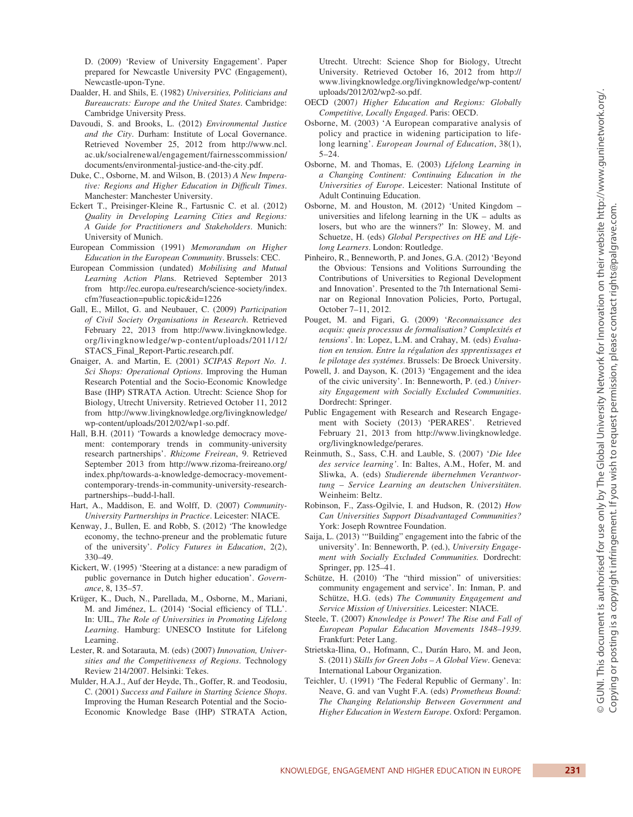D. (2009) 'Review of University Engagement'. Paper prepared for Newcastle University PVC (Engagement), Newcastle-upon-Tyne.

- Daalder, H. and Shils, E. (1982) *Universities, Politicians and Bureaucrats: Europe and the United States*. Cambridge: Cambridge University Press.
- Davoudi, S. and Brooks, L. (2012) *Environmental Justice and the City*. Durham: Institute of Local Governance. Retrieved November 25, 2012 from http://www.ncl. ac.uk/socialrenewal/engagement/fairnesscommission/ documents/environmental-justice-and-the-city.pdf.
- Duke, C., Osborne, M. and Wilson, B. (2013) *A New Imperative: Regions and Higher Education in Difficult Times*. Manchester: Manchester University.
- Eckert T., Preisinger-Kleine R., Fartusnic C. et al. (2012) *Quality in Developing Learning Cities and Regions: A Guide for Practitioners and Stakeholders*. Munich: University of Munich.
- European Commission (1991) *Memorandum on Higher Education in the European Community*. Brussels: CEC.
- European Commission (undated) *Mobilising and Mutual Learning Action Pla*ns. Retrieved September 2013 from http://ec.europa.eu/research/science-society/index. cfm?fuseaction=public.topic&id=1226
- Gall, E., Millot, G. and Neubauer, C. (2009) *Participation of Civil Society Organisations in Research*. Retrieved February 22, 2013 from http://www.livingknowledge. org/livingknowledge/wp-content/uploads/2011/12/ STACS\_Final\_Report-Partic.research.pdf.
- Gnaiger, A. and Martin, E. (2001) *SCIPAS Report No. 1. Sci Shops: Operational Options*. Improving the Human Research Potential and the Socio-Economic Knowledge Base (IHP) STRATA Action. Utrecht: Science Shop for Biology, Utrecht University. Retrieved October 11, 2012 from http://www.livingknowledge.org/livingknowledge/ wp-content/uploads/2012/02/wp1-so.pdf.
- Hall, B.H. (2011) 'Towards a knowledge democracy movement: contemporary trends in community-university research partnerships'. *Rhizome Freirean*, 9. Retrieved September 2013 from http://www.rizoma-freireano.org/ index.php/towards-a-knowledge-democracy-movementcontemporary-trends-in-community-university-researchpartnerships--budd-l-hall.
- Hart, A., Maddison, E. and Wolff, D. (2007) *Community-University Partnerships in Practice*. Leicester: NIACE.
- Kenway, J., Bullen, E. and Robb, S. (2012) 'The knowledge economy, the techno-preneur and the problematic future of the university'. *Policy Futures in Education*, 2(2), 330–49.
- Kickert, W. (1995) 'Steering at a distance: a new paradigm of public governance in Dutch higher education'. *Governance*, 8, 135–57.
- Krüger, K., Duch, N., Parellada, M., Osborne, M., Mariani, M. and Jiménez, L. (2014) 'Social efficiency of TLL'. In: UIL, *The Role of Universities in Promoting Lifelong Learning*. Hamburg: UNESCO Institute for Lifelong Learning.
- Lester, R. and Sotarauta, M. (eds) (2007) *Innovation, Universities and the Competitiveness of Regions*. Technology Review 214/2007. Helsinki: Tekes.
- Mulder, H.A.J., Auf der Heyde, Th., Goffer, R. and Teodosiu, C. (2001) *Success and Failure in Starting Science Shops*. Improving the Human Research Potential and the Socio-Economic Knowledge Base (IHP) STRATA Action,

Utrecht. Utrecht: Science Shop for Biology, Utrecht University. Retrieved October 16, 2012 from http:// www.livingknowledge.org/livingknowledge/wp-content/ uploads/2012/02/wp2-so.pdf.

- OECD (2007*) Higher Education and Regions: Globally Competitive, Locally Engaged*. Paris: OECD.
- Osborne, M. (2003) 'A European comparative analysis of policy and practice in widening participation to lifelong learning'. *European Journal of Education*, 38(1), 5–24.
- Osborne, M. and Thomas, E. (2003) *Lifelong Learning in a Changing Continent: Continuing Education in the Universities of Europe*. Leicester: National Institute of Adult Continuing Education.
- Osborne, M. and Houston, M. (2012) 'United Kingdom universities and lifelong learning in the UK – adults as losers, but who are the winners?' In: Slowey, M. and Schuetze, H. (eds) *Global Perspectives on HE and Lifelong Learners*. London: Routledge.
- Pinheiro, R., Benneworth, P. and Jones, G.A. (2012) 'Beyond the Obvious: Tensions and Volitions Surrounding the Contributions of Universities to Regional Development and Innovation'. Presented to the 7th International Seminar on Regional Innovation Policies, Porto, Portugal, October 7–11, 2012.
- Pouget, M. and Figari, G. (2009) '*Reconnaissance des acquis: queis processus de formalisation? Complexités et tensions*'. In: Lopez, L.M. and Crahay, M. (eds) *Evaluation en tension. Entre la régulation des spprentissages et le pilotage des systémes*. Brussels: De Broeck University.
- Powell, J. and Dayson, K. (2013) 'Engagement and the idea of the civic university'. In: Benneworth, P. (ed.) *University Engagement with Socially Excluded Communities*. Dordrecht: Springer.
- Public Engagement with Research and Research Engagement with Society (2013) 'PERARES'. Retrieved February 21, 2013 from http://www.livingknowledge. org/livingknowledge/perares.
- Reinmuth, S., Sass, C.H. and Lauble, S. (2007) '*Die Idee des service learning'*. In: Baltes, A.M., Hofer, M. and Sliwka, A. (eds) *Studierende übernehmen Verantwortung – Service Learning an deutschen Universitäten*. Weinheim: Beltz.
- Robinson, F., Zass-Ogilvie, I. and Hudson, R. (2012) *How Can Universities Support Disadvantaged Communities?* York: Joseph Rowntree Foundation.
- Saija, L. (2013) '"Building" engagement into the fabric of the university'. In: Benneworth, P. (ed.), *University Engagement with Socially Excluded Communities.* Dordrecht: Springer, pp. 125–41.
- Schütze, H. (2010) 'The "third mission" of universities: community engagement and service'. In: Inman, P. and Schütze, H.G. (eds) *The Community Engagement and Service Mission of Universities*. Leicester: NIACE.
- Steele, T. (2007) *Knowledge is Power! The Rise and Fall of European Popular Education Movements 1848–1939*. Frankfurt: Peter Lang.
- Strietska-Ilina, O., Hofmann, C., Durán Haro, M. and Jeon, S. (2011) *Skills for Green Jobs – A Global View*. Geneva: International Labour Organization.
- Teichler, U. (1991) 'The Federal Republic of Germany'. In: Neave, G. and van Vught F.A. (eds) *Prometheus Bound: The Changing Relationship Between Government and Higher Education in Western Europe*. Oxford: Pergamon.